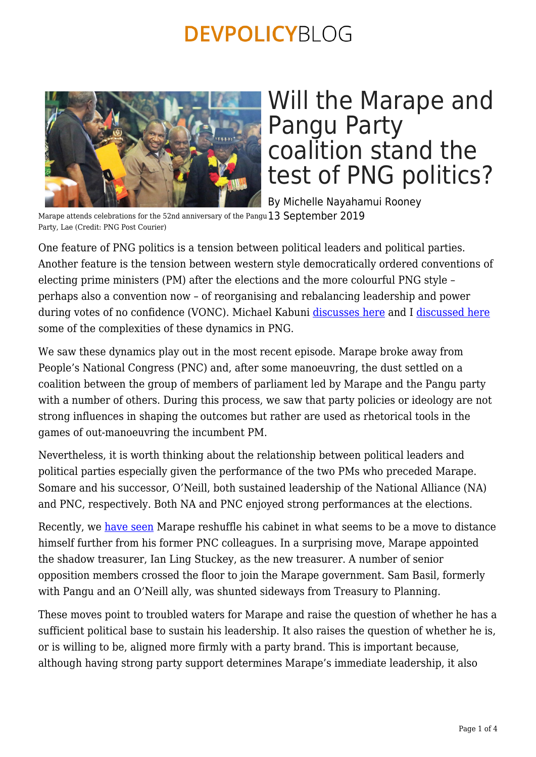

# Will the Marape and Pangu Party coalition stand the test of PNG politics?

By Michelle Nayahamui Rooney

Marape attends celebrations for the 52nd anniversary of the Pangu  $13$  <code>September 2019</code> Party, Lae (Credit: PNG Post Courier)

One feature of PNG politics is a tension between political leaders and political parties. Another feature is the tension between western style democratically ordered conventions of electing prime ministers (PM) after the elections and the more colourful PNG style – perhaps also a convention now – of reorganising and rebalancing leadership and power during votes of no confidence (VONC). Michael Kabuni [discusses here](https://devpolicy.org/changing-prime-ministers-in-png-does-party-size-matter-20190509/) and I [discussed here](https://devpolicy.org/political-developments-in-papua-new-guinea-in-a-historical-context-20190506/) some of the complexities of these dynamics in PNG.

We saw these dynamics play out in the most recent episode. Marape broke away from People's National Congress (PNC) and, after some manoeuvring, the dust settled on a coalition between the group of members of parliament led by Marape and the Pangu party with a number of others. During this process, we saw that party policies or ideology are not strong influences in shaping the outcomes but rather are used as rhetorical tools in the games of out-manoeuvring the incumbent PM.

Nevertheless, it is worth thinking about the relationship between political leaders and political parties especially given the performance of the two PMs who preceded Marape. Somare and his successor, O'Neill, both sustained leadership of the National Alliance (NA) and PNC, respectively. Both NA and PNC enjoyed strong performances at the elections.

Recently, we [have seen](https://www.abc.net.au/radio-australia/programs/pacificbeat/png-pm-encourages-predecessor-to-move-to-opposition/11455582) Marape reshuffle his cabinet in what seems to be a move to distance himself further from his former PNC colleagues. In a surprising move, Marape appointed the shadow treasurer, Ian Ling Stuckey, as the new treasurer. A number of senior opposition members crossed the floor to join the Marape government. Sam Basil, formerly with Pangu and an O'Neill ally, was shunted sideways from Treasury to Planning.

These moves point to troubled waters for Marape and raise the question of whether he has a sufficient political base to sustain his leadership. It also raises the question of whether he is, or is willing to be, aligned more firmly with a party brand. This is important because, although having strong party support determines Marape's immediate leadership, it also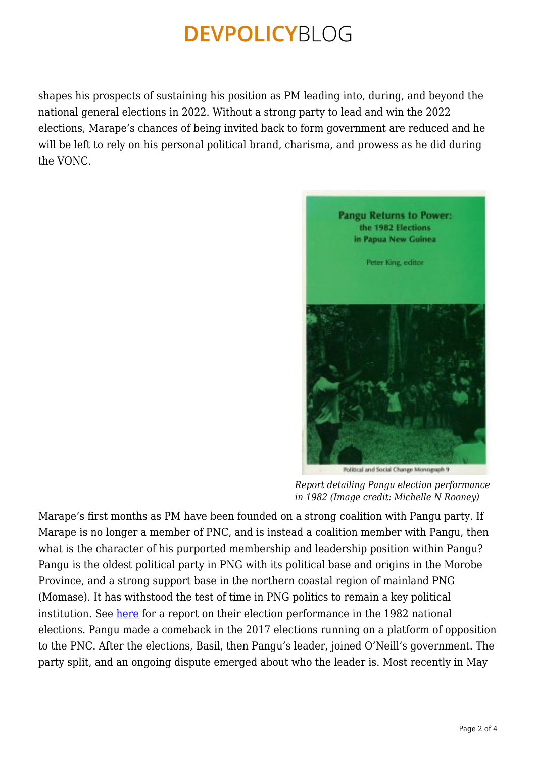shapes his prospects of sustaining his position as PM leading into, during, and beyond the national general elections in 2022. Without a strong party to lead and win the 2022 elections, Marape's chances of being invited back to form government are reduced and he will be left to rely on his personal political brand, charisma, and prowess as he did during the VONC.



*Report detailing Pangu election performance in 1982 (Image credit: Michelle N Rooney)*

Marape's first months as PM have been founded on a strong coalition with Pangu party. If Marape is no longer a member of PNC, and is instead a coalition member with Pangu, then what is the character of his purported membership and leadership position within Pangu? Pangu is the oldest political party in PNG with its political base and origins in the Morobe Province, and a strong support base in the northern coastal region of mainland PNG (Momase). It has withstood the test of time in PNG politics to remain a key political institution. See [here](https://openresearch-repository.anu.edu.au/bitstream/1885/133699/1/Pangu_Returns_to_Power.pdf) for a report on their election performance in the 1982 national elections. Pangu made a comeback in the 2017 elections running on a platform of opposition to the PNC. After the elections, Basil, then Pangu's leader, joined O'Neill's government. The party split, and an ongoing dispute emerged about who the leader is. Most recently in May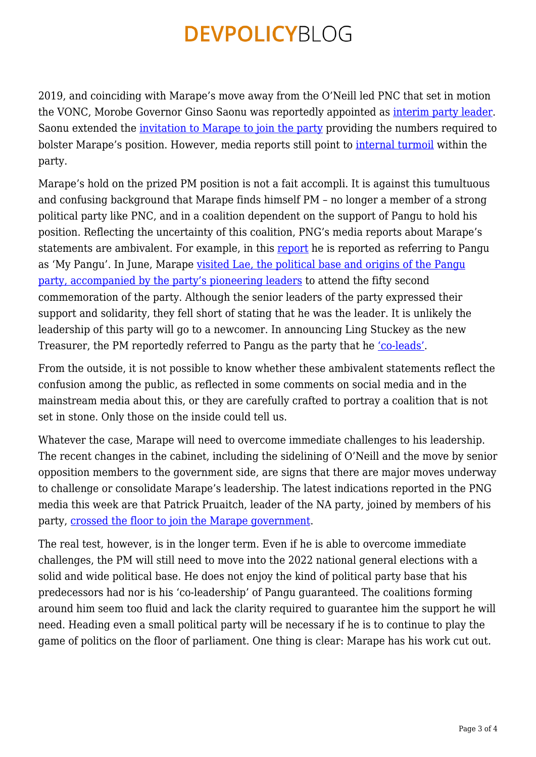2019, and coinciding with Marape's move away from the O'Neill led PNC that set in motion the VONC, Morobe Governor Ginso Saonu was reportedly appointed as *[interim party leader](https://postcourier.com.pg/saonu-interim-pangu-pati-leader/)*. Saonu extended the [invitation to Marape to join the party](https://postcourier.com.pg/pangu-pati-executives-say-leadership-saonu/) providing the numbers required to bolster Marape's position. However, media reports still point to [internal turmoil](https://postcourier.com.pg/leadership-in-question/) within the party.

Marape's hold on the prized PM position is not a fait accompli. It is against this tumultuous and confusing background that Marape finds himself PM – no longer a member of a strong political party like PNC, and in a coalition dependent on the support of Pangu to hold his position. Reflecting the uncertainty of this coalition, PNG's media reports about Marape's statements are ambivalent. For example, in this [report](https://www.thenational.com.pg/marapes-dream/) he is reported as referring to Pangu as 'My Pangu'. In June, Marape [visited Lae, the political base and origins of the Pangu](https://postcourier.com.pg/pangu-pioneers-lead-marape-lae-rally/) [party, accompanied by the party's pioneering leaders](https://postcourier.com.pg/pangu-pioneers-lead-marape-lae-rally/) to attend the fifty second commemoration of the party. Although the senior leaders of the party expressed their support and solidarity, they fell short of stating that he was the leader. It is unlikely the leadership of this party will go to a newcomer. In announcing Ling Stuckey as the new Treasurer, the PM reportedly referred to Pangu as the party that he ['co-leads'](https://postcourier.com.pg/kavieng-mp-ian-ling-stuckey-new-treasurer/).

From the outside, it is not possible to know whether these ambivalent statements reflect the confusion among the public, as reflected in some comments on social media and in the mainstream media about this, or they are carefully crafted to portray a coalition that is not set in stone. Only those on the inside could tell us.

Whatever the case, Marape will need to overcome immediate challenges to his leadership. The recent changes in the cabinet, including the sidelining of O'Neill and the move by senior opposition members to the government side, are signs that there are major moves underway to challenge or consolidate Marape's leadership. The latest indications reported in the PNG media this week are that Patrick Pruaitch, leader of the NA party, joined by members of his party, [crossed the floor to join the Marape government.](https://postcourier.com.pg/opposition-leader-joins-government/)

The real test, however, is in the longer term. Even if he is able to overcome immediate challenges, the PM will still need to move into the 2022 national general elections with a solid and wide political base. He does not enjoy the kind of political party base that his predecessors had nor is his 'co-leadership' of Pangu guaranteed. The coalitions forming around him seem too fluid and lack the clarity required to guarantee him the support he will need. Heading even a small political party will be necessary if he is to continue to play the game of politics on the floor of parliament. One thing is clear: Marape has his work cut out.